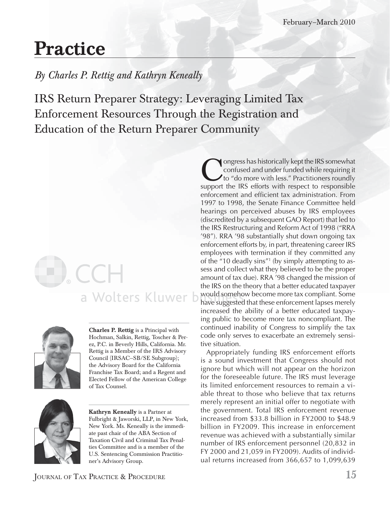## **Practice**

### *By Charles P. Rettig and Kathryn Keneally*

IRS Return Preparer Strategy: Leveraging Limited Tax Enforcement Resources Through the Registration and Education of the Return Preparer Community

# a Wolters Kluwer b



**Charles P. Rettig** is a Principal with Hochman, Salkin, Rettig, Toscher & Perez, P.C. in Beverly Hills, California. Mr. Rettig is a Member of the IRS Advisory Council (IRSAC—SB/SE Subgroup); the Advisory Board for the California Franchise Tax Board; and a Regent and Elected Fellow of the American College of Tax Counsel.



**Kathryn Keneally** is a Partner at Fulbright & Jaworski, LLP, in New York, New York. Ms. Keneally is the immediate past chair of the ABA Section of Taxation Civil and Criminal Tax Penalties Committee and is a member of the U.S. Sentencing Commission Practitioner's Advisory Group.

Congress has historically kept the IRS somewhat<br>confused and under funded while requiring it<br>to "do more with less." Practitioners roundly<br>support the IRS efforts with respect to responsible confused and under funded while requiring it to "do more with less." Practitioners roundly support the IRS efforts with respect to responsible enforcement and efficient tax administration. From 1997 to 1998, the Senate Finance Committee held hearings on perceived abuses by IRS employees (discredited by a subsequent GAO Report) that led to the IRS Restructuring and Reform Act of 1998 ("RRA '98"). RRA '98 substantially shut down ongoing tax enforcement efforts by, in part, threatening career IRS employees with termination if they committed any of the "10 deadly sins"1 (by simply attempting to assess and collect what they believed to be the proper amount of tax due). RRA '98 changed the mission of the IRS on the theory that a better educated taxpayer would somehow become more tax compliant. Some w ou ld s om e ho have suggested that these enforcement lapses merely increased the ability of a better educated taxpaying public to become more tax noncompliant. The continued inability of Congress to simplify the tax code only serves to exacerbate an extremely sensitive situation.

Appropriately funding IRS enforcement efforts is a sound investment that Congress should not ignore but which will not appear on the horizon for the foreseeable future. The IRS must leverage its limited enforcement resources to remain a viable threat to those who believe that tax returns merely represent an initial offer to negotiate with the government. Total IRS enforcement revenue increased from \$33.8 billion in FY2000 to \$48.9 billion in FY2009. This increase in enforcement revenue was achieved with a substantially similar number of IRS enforcement personnel (20,832 in FY 2000 and 21,059 in FY2009). Audits of individual returns increased from 366,657 to 1,099,639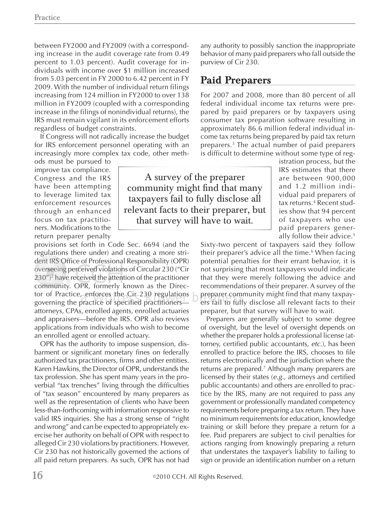between FY2000 and FY2009 (with a corresponding increase in the audit coverage rate from 0.49 percent to 1.03 percent). Audit coverage for individuals with income over \$1 million increased from 5.03 percent in FY 2000 to 6.42 percent in FY 2009. With the number of individual return filings increasing from 124 million in FY2000 to over 138 million in FY2009 (coupled with a corresponding increase in the filings of nonindividual returns), the IRS must remain vigilant in its enforcement efforts regardless of budget constraints.

If Congress will not radically increase the budget for IRS enforcement personnel operating with an increasingly more complex tax code, other meth-

ods must be pursued to improve tax compliance. Congress and the IRS have been attempting to leverage limited tax enforcement resources through an enhanced focus on tax practitioners. Modifications to the return preparer penalty

provisions set forth in Code Sec. 6694 (and the regulations there under) and creating a more stri-g dent IRS Office of Professional Responsibility (OPR) overseeing perceived violations of Circular 230 ("Cir  $230'$ <sup>2</sup> have received the attention of the practitioner community. OPR, formerly known as the Director of Practice, enforces the Cir 230 regulations governing the practice of specified practitioners attorneys, CPAs, enrolled agents, enrolled actuaries and appraisers—before the IRS. OPR also reviews applications from individuals who wish to become an enrolled agent or enrolled actuary. t IRS (<br>rseein<br>″)<sup>2</sup> ha<sup>.</sup>

OPR has the authority to impose suspension, disbarment or significant monetary fines on federally authorized tax practitioners, firms and other entities. Karen Hawkins, the Director of OPR, understands the tax profession. She has spent many years in the proverbial "tax trenches" living through the difficulties of "tax season" encountered by many preparers as well as the representation of clients who have been less-than-forthcoming with information responsive to valid IRS inquiries. She has a strong sense of "right and wrong" and can be expected to appropriately exercise her authority on behalf of OPR with respect to alleged Cir 230 violations by practitioners. However, Cir 230 has not historically governed the actions of all paid return preparers. As such, OPR has not had

any authority to possibly sanction the inappropriate behavior of many paid preparers who fall outside the purview of Cir 230.

#### **Paid Preparers**

For 2007 and 2008, more than 80 percent of all federal individual income tax returns were prepared by paid preparers or by taxpayers using consumer tax preparation software resulting in approximately 86.6 million federal individual income tax returns being prepared by paid tax return preparers.3 The actual number of paid preparers is difficult to determine without some type of reg-

A survey of the preparer community might find that many taxpayers fail to fully disclose all relevant facts to their preparer, but that survey will have to wait.

istration process, but the IRS estimates that there are between 900,000 and 1.2 million individual paid preparers of tax returns.<sup>4</sup> Recent studies show that 94 percent of taxpayers who use paid preparers generally follow their advice.5

Sixty-two percent of taxpayers said they follow their preparer's advice all the time.<sup>6</sup> When facing potential penalties for their errant behavior, it is not surprising that most taxpayers would indicate that they were merely following the advice and recommendations of their preparer. A survey of the ns  $\blacktriangleright$  preparer community might find that many taxpayers fail to fully disclose all relevant facts to their preparer, but that survey will have to wait.

Preparers are generally subject to some degree of oversight, but the level of oversight depends on whether the preparer holds a professional license (attorney, certified public accountants, *etc*.), has been enrolled to practice before the IRS, chooses to file returns electronically and the jurisdiction where the returns are prepared.<sup>7</sup> Although many preparers are licensed by their states (*e.g.*, attorneys and certified public accountants) and others are enrolled to practice by the IRS, many are not required to pass any government or professionally mandated competency requirements before preparing a tax return. They have no minimum requirements for education, knowledge training or skill before they prepare a return for a fee. Paid preparers are subject to civil penalties for actions ranging from knowingly preparing a return that understates the taxpayer's liability to failing to sign or provide an identification number on a return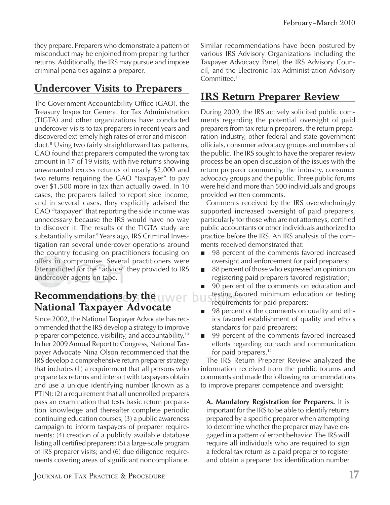they prepare. Preparers who demonstrate a pattern of misconduct may be enjoined from preparing further returns. Additionally, the IRS may pursue and impose criminal penalties against a preparer.

### **Undercover Visits to Preparers**

The Government Accountability Office (GAO), the Treasury Inspector General for Tax Administration (TIGTA) and other organizations have conducted undercover visits to tax preparers in recent years and discovered extremely high rates of error and misconduct.8 Using two fairly straightforward tax patterns, GAO found that preparers computed the wrong tax amount in 17 of 19 visits, with five returns showing unwarranted excess refunds of nearly \$2,000 and two returns requiring the GAO "taxpayer" to pay over \$1,500 more in tax than actually owed. In 10 cases, the preparers failed to report side income, and in several cases, they explicitly advised the GAO "taxpayer" that reporting the side income was unnecessary because the IRS would have no way to discover it. The results of the TIGTA study are substantially similar.9 Years ago, IRS Criminal Investigation ran several undercover operations around the country focusing on practitioners focusing on offers in compromise. Several practitioners were later indicted for the "advice" they provided to IRS<br>undercover agents on tape. undercover agents on tape.

#### $\bf$  **Recommendations by the**  $\bf U$  **were**  $\bf b$  **uster National Taxpayer Advocate**

Since 2002, the National Taxpayer Advocate has recommended that the IRS develop a strategy to improve preparer competence, visibility, and accountability.10 In her 2009 Annual Report to Congress, National Taxpayer Advocate Nina Olson recommended that the IRS develop a comprehensive return preparer strategy that includes (1) a requirement that all persons who prepare tax returns and interact with taxpayers obtain and use a unique identifying number (known as a PTIN); (2) a requirement that all unenrolled preparers pass an examination that tests basic return preparation knowledge and thereafter complete periodic continuing education courses; (3) a public awareness campaign to inform taxpayers of preparer requirements; (4) creation of a publicly available database listing all certified preparers; (5) a large-scale program of IRS preparer visits; and (6) due diligence requirements covering areas of significant noncompliance. Similar recommendations have been postured by various IRS Advisory Organizations including the Taxpayer Advocacy Panel, the IRS Advisory Council, and the Electronic Tax Administration Advisory Committee.<sup>11</sup>

#### **IRS Return Preparer Review**

During 2009, the IRS actively solicited public comments regarding the potential oversight of paid preparers from tax return preparers, the return preparation industry, other federal and state government officials, consumer advocacy groups and members of the public. The IRS sought to have the preparer review process be an open discussion of the issues with the return preparer community, the industry, consumer advocacy groups and the public. Three public forums were held and more than 500 individuals and groups provided written comments.

Comments received by the IRS overwhelmingly supported increased oversight of paid preparers, particularly for those who are not attorneys, certified public accountants or other individuals authorized to practice before the IRS. An IRS analysis of the comments received demonstrated that:

- 98 percent of the comments favored increased  $\blacksquare$ oversight and enforcement for paid preparers;
- 88 percent of those who expressed an opinion on  $\mathcal{L}_{\mathcal{A}}$ registering paid preparers favored registration;
- 90 percent of the comments on education and  $\blacksquare$ testing favored minimum education or testing requirements for paid preparers;
- 98 percent of the comments on quality and ethics favored establishment of quality and ethics standards for paid preparers;
- 99 percent of the comments favored increased  $\mathcal{L}_{\mathcal{A}}$ efforts regarding outreach and communication for paid preparers.<sup>12</sup>

The IRS Return Preparer Review analyzed the information received from the public forums and comments and made the following recommendations to improve preparer competence and oversight:

**A. Mandatory Registration for Preparers.** It is important for the IRS to be able to identify returns prepared by a specific preparer when attempting to determine whether the preparer may have engaged in a pattern of errant behavior. The IRS will require all individuals who are required to sign a federal tax return as a paid preparer to register and obtain a preparer tax identification number

JOURNAL OF TAX PRACTICE & PROCEDURE **17**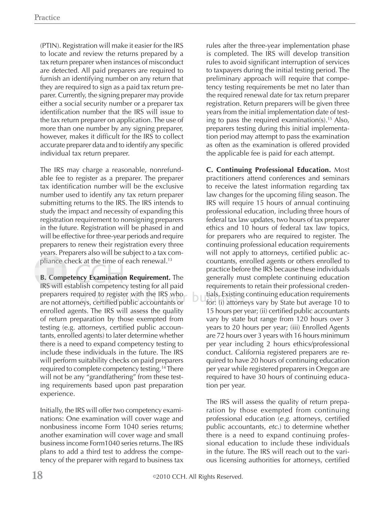(PTIN). Registration will make it easier for the IRS to locate and review the returns prepared by a tax return preparer when instances of misconduct are detected. All paid preparers are required to furnish an identifying number on any return that they are required to sign as a paid tax return preparer. Currently, the signing preparer may provide either a social security number or a preparer tax identification number that the IRS will issue to the tax return preparer on application. The use of more than one number by any signing preparer, however, makes it difficult for the IRS to collect accurate preparer data and to identify any specific individual tax return preparer.

The IRS may charge a reasonable, nonrefundable fee to register as a preparer. The preparer tax identification number will be the exclusive number used to identify any tax return preparer submitting returns to the IRS. The IRS intends to study the impact and necessity of expanding this registration requirement to nonsigning preparers in the future. Registration will be phased in and will be effective for three-year periods and require preparers to renew their registration every three years. Preparers also will be subject to a tax com-y pliance check at the time of each renewal. $^{\rm 13}$ 

**B. Competency Examination Requirement.** The IRS will establish competency testing for all paid preparers required to register with the IRS who are not attorneys, certified public accountants or enrolled agents. The IRS will assess the quality of return preparation by those exempted from testing (e.g. attorneys, certified public accountants, enrolled agents) to later determine whether there is a need to expand competency testing to include these individuals in the future. The IRS will perform suitability checks on paid preparers required to complete competency testing.<sup>14</sup> There will not be any "grandfathering" from these testing requirements based upon past preparation experience.

Initially, the IRS will offer two competency examinations: One examination will cover wage and nonbusiness income Form 1040 series returns; another examination will cover wage and small business income Form1040 series returns. The IRS plans to add a third test to address the competency of the preparer with regard to business tax

rules after the three-year implementation phase is completed. The IRS will develop transition rules to avoid significant interruption of services to taxpayers during the initial testing period. The preliminary approach will require that competency testing requirements be met no later than the required renewal date for tax return preparer registration. Return preparers will be given three years from the initial implementation date of testing to pass the required examination(s).<sup>15</sup> Also, preparers testing during this initial implementation period may attempt to pass the examination as often as the examination is offered provided the applicable fee is paid for each attempt.

**C. Continuing Professional Education.** Most practitioners attend conferences and seminars to receive the latest information regarding tax law changes for the upcoming filing season. The IRS will require 15 hours of annual continuing professional education, including three hours of federal tax law updates, two hours of tax preparer ethics and 10 hours of federal tax law topics, for preparers who are required to register. The continuing professional education requirements will not apply to attorneys, certified public accountants, enrolled agents or others enrolled to practice before the IRS because these individuals generally must complete continuing education requirements to retain their professional credentials. Existing continuing education requirements tia l ls. E xis ti ng for: (i) attorneys vary by State but average 10 to 15 hours per year; (ii) certified public accountants vary by state but range from 120 hours over 3 years to 20 hours per year; (iii) Enrolled Agents are 72 hours over 3 years with 16 hours minimum per year including 2 hours ethics/professional conduct. California registered preparers are required to have 20 hours of continuing education per year while registered preparers in Oregon are required to have 30 hours of continuing education per year.

The IRS will assess the quality of return preparation by those exempted from continuing professional education (e.g. attorneys, certified public accountants, *etc*.) to determine whether there is a need to expand continuing professional education to include these individuals in the future. The IRS will reach out to the various licensing authorities for attorneys, certified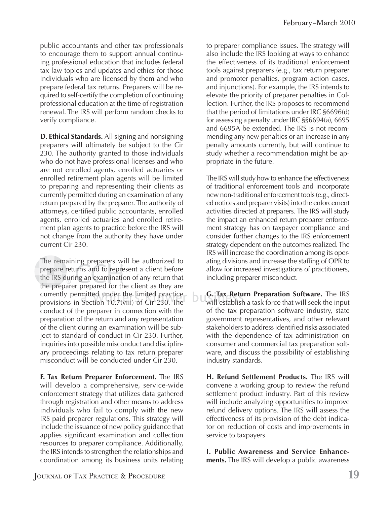public accountants and other tax professionals to encourage them to support annual continuing professional education that includes federal tax law topics and updates and ethics for those individuals who are licensed by them and who prepare federal tax returns. Preparers will be required to self-certify the completion of continuing professional education at the time of registration renewal. The IRS will perform random checks to verify compliance.

**D. Ethical Standards.** All signing and nonsigning preparers will ultimately be subject to the Cir 230. The authority granted to those individuals who do not have professional licenses and who are not enrolled agents, enrolled actuaries or enrolled retirement plan agents will be limited to preparing and representing their clients as currently permitted during an examination of any return prepared by the preparer. The authority of attorneys, certified public accountants, enrolled agents, enrolled actuaries and enrolled retirement plan agents to practice before the IRS will not change from the authority they have under current Cir 230.

The remaining preparers will be authorized to prepare returns and to represent a client before the IRS during an examination of any return that the preparer prepared for the client as they are pre currently permitted under the limited practice currently permitted under the limited practice<br>provisions in Section 10.7(viii) of Cir 230. The conduct of the preparer in connection with the preparation of the return and any representation of the client during an examination will be subject to standard of conduct in Cir 230. Further, inquiries into possible misconduct and disciplinary proceedings relating to tax return preparer misconduct will be conducted under Cir 230. ma<br>e r<br>,d prepare r

**F. Tax Return Preparer Enforcement.** The IRS will develop a comprehensive, service-wide enforcement strategy that utilizes data gathered through registration and other means to address individuals who fail to comply with the new IRS paid preparer regulations. This strategy will include the issuance of new policy guidance that applies significant examination and collection resources to preparer compliance. Additionally, the IRS intends to strengthen the relationships and coordination among its business units relating

to preparer compliance issues. The strategy will also include the IRS looking at ways to enhance the effectiveness of its traditional enforcement tools against preparers (e.g., tax return preparer and promoter penalties, program action cases, and injunctions). For example, the IRS intends to elevate the priority of preparer penalties in Collection. Further, the IRS proposes to recommend that the period of limitations under IRC §6696(d) for assessing a penalty under IRC §§6694(a), 6695 and 6695A be extended. The IRS is not recommending any new penalties or an increase in any penalty amounts currently, but will continue to study whether a recommendation might be appropriate in the future.

The IRS will study how to enhance the effectiveness of traditional enforcement tools and incorporate new non-traditional enforcement tools (e.g., directed notices and preparer visits) into the enforcement activities directed at preparers. The IRS will study the impact an enhanced return preparer enforcement strategy has on taxpayer compliance and consider further changes to the IRS enforcement strategy dependent on the outcomes realized. The IRS will increase the coordination among its operating divisions and increase the staffing of OPR to allow for increased investigations of practitioners, including preparer misconduct.

**G.** Tax Return Preparation Software. The IRS will establish a task force that will seek the input of the tax preparation software industry, state government representatives, and other relevant stakeholders to address identified risks associated with the dependence of tax administration on consumer and commercial tax preparation software, and discuss the possibility of establishing industry standards.

**H. Refund Settlement Products.** The IRS will convene a working group to review the refund settlement product industry. Part of this review will include analyzing opportunities to improve refund delivery options. The IRS will assess the effectiveness of its provision of the debt indicator on reduction of costs and improvements in service to taxpayers

**I. Public Awareness and Service Enhancements.** The IRS will develop a public awareness

**JOURNAL OF TAX PRACTICE & PROCEDURE 19**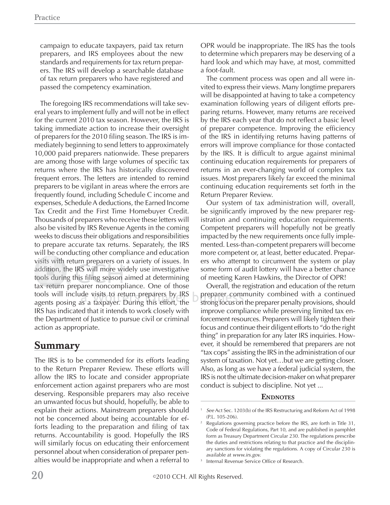campaign to educate taxpayers, paid tax return preparers, and IRS employees about the new standards and requirements for tax return preparers. The IRS will develop a searchable database of tax return preparers who have registered and passed the competency examination.

The foregoing IRS recommendations will take several years to implement fully and will not be in effect for the current 2010 tax season. However, the IRS is taking immediate action to increase their oversight of preparers for the 2010 filing season. The IRS is immediately beginning to send letters to approximately 10,000 paid preparers nationwide. These preparers are among those with large volumes of specific tax returns where the IRS has historically discovered frequent errors. The letters are intended to remind preparers to be vigilant in areas where the errors are frequently found, including Schedule C income and expenses, Schedule A deductions, the Earned Income Tax Credit and the First Time Homebuyer Credit. Thousands of preparers who receive these letters will also be visited by IRS Revenue Agents in the coming weeks to discuss their obligations and responsibilities to prepare accurate tax returns. Separately, the IRS will be conducting other compliance and education visits with return preparers on a variety of issues. In addition, the IRS will more widely use investigative tools during this filing season aimed at determining tax return preparer noncompliance. One of those tools will include visits to return preparers by IRS<br>agents posing as a taxpayer. During this effort, the agents posing as a taxpayer. During this effort, the IRS has indicated that it intends to work closely with the Department of Justice to pursue civil or criminal action as appropriate.

#### **Summary**

The IRS is to be commended for its efforts leading to the Return Preparer Review. These efforts will allow the IRS to locate and consider appropriate enforcement action against preparers who are most deserving. Responsible preparers may also receive an unwanted focus but should, hopefully, be able to explain their actions. Mainstream preparers should not be concerned about being accountable for efforts leading to the preparation and filing of tax returns. Accountability is good. Hopefully the IRS will similarly focus on educating their enforcement personnel about when consideration of preparer penalties would be inappropriate and when a referral to OPR would be inappropriate. The IRS has the tools to determine which preparers may be deserving of a hard look and which may have, at most, committed a foot-fault.

The comment process was open and all were invited to express their views. Many longtime preparers will be disappointed at having to take a competency examination following years of diligent efforts preparing returns. However, many returns are received by the IRS each year that do not reflect a basic level of preparer competence. Improving the efficiency of the IRS in identifying returns having patterns of errors will improve compliance for those contacted by the IRS. It is difficult to argue against minimal continuing education requirements for preparers of returns in an ever-changing world of complex tax issues. Most preparers likely far exceed the minimal continuing education requirements set forth in the Return Preparer Review.

Our system of tax administration will, overall, be significantly improved by the new preparer registration and continuing education requirements. Competent preparers will hopefully not be greatly impacted by the new requirements once fully implemented. Less-than-competent preparers will become more competent or, at least, better educated. Preparers who attempt to circumvent the system or play some form of audit lottery will have a better chance of meeting Karen Hawkins, the Director of OPR!

Overall, the registration and education of the return preparer community combined with a continued strong focus on the preparer penalty provisions, should improve compliance while preserving limited tax enforcement resources. Preparers will likely tighten their focus and continue their diligent efforts to "do the right thing" in preparation for any later IRS inquiries. However, it should be remembered that preparers are not "tax cops" assisting the IRS in the administration of our system of taxation. Not yet…but we are getting closer. Also, as long as we have a federal judicial system, the IRS is not the ultimate decision-maker on what preparer conduct is subject to discipline. Not yet ...

#### **ENDNOTES**

<sup>1</sup> *See* Act Sec. 1203(b) of the IRS Restructuring and Reform Act of 1998 (P.L. 105-206).

<sup>2</sup> Regulations governing practice before the IRS, are forth in Title 31, Code of Federal Regulations, Part 10, and are published in pamphlet form as Treasury Department Circular 230. The regulations prescribe the duties and restrictions relating to that practice and the disciplinary sanctions for violating the regulations. A copy of Circular 230 is available at *www.irs.gov.*

<sup>3</sup> Internal Revenue Service Office of Research.